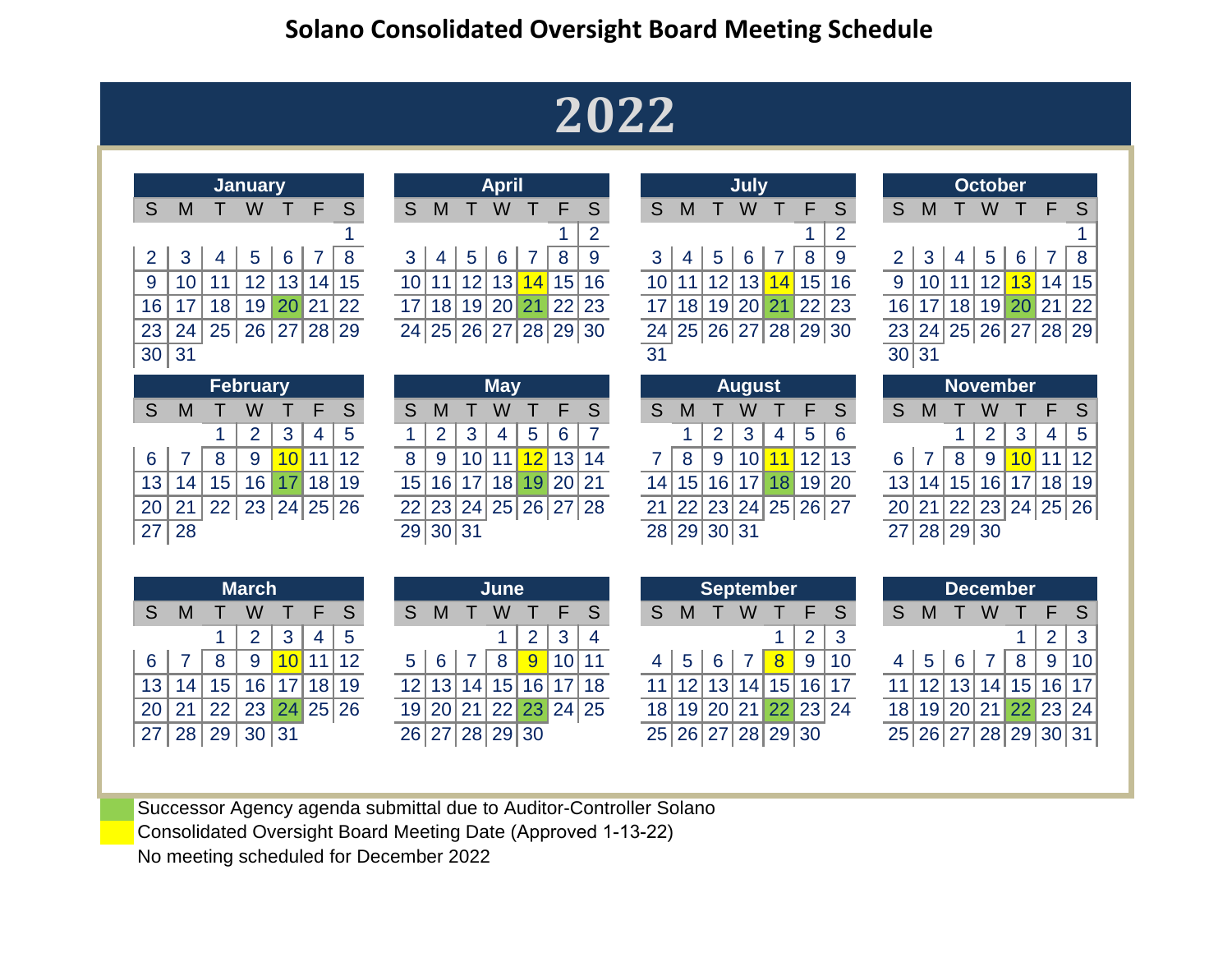## **2022**

|                |    |    | <b>January</b>  |    |    |          |                 |          |    | <b>April</b> |                |    |                |    |    |       | <b>July</b>      |    |                |                 |                 |    |          | <b>October</b> |                   |                 |                |
|----------------|----|----|-----------------|----|----|----------|-----------------|----------|----|--------------|----------------|----|----------------|----|----|-------|------------------|----|----------------|-----------------|-----------------|----|----------|----------------|-------------------|-----------------|----------------|
| S              | M  |    | W               |    | F  | S        | S               | M        |    | W            |                | F  | S              | S  | M  |       | W                |    | F              | S               | S               | M  |          | W              |                   | F               | S              |
|                |    |    |                 |    |    |          |                 |          |    |              |                |    | $\overline{2}$ |    |    |       |                  |    |                | $\overline{2}$  |                 |    |          |                |                   |                 |                |
| $\overline{2}$ | 3  | 4  | 5               | 6  |    | 8        | 3               | 4        | 5  | 6            |                | 8  | $9$            | 3  | 4  | 5     | 6                |    | 8              | 9               | $\overline{2}$  | 3  | 4        | 5              | $6\phantom{1}6$   |                 | 8              |
| 9              | 10 | 11 | 12              | 13 | 14 | 15       | 10 <sup>1</sup> | 11       | 12 | 13           | 14             | 15 | 16             | 10 |    | 12    | 13               | 14 | 15             | 16              | $9\,$           | 10 | 11       | 12             | 13                | 14              | 15             |
| 16             | 17 | 18 | 19              | 20 | 21 | 22       | 17              | 18       | 19 | 20           | 21             | 22 | 23             | 17 | 18 | 19    | 20               | 21 | 22             | 23              | 16              | 17 | 18       | 19             | 20                | 21              | 22             |
| 23             | 24 | 25 | 26              | 27 |    | 28 29    | 24              | 25       | 26 | 27           | 28             |    | 29 30          | 24 | 25 | 26    | 27               |    |                | 28 29 30        | 23              | 24 |          |                | 25 26 27          | 28 29           |                |
| 30             | 31 |    |                 |    |    |          |                 |          |    |              |                |    |                | 31 |    |       |                  |    |                |                 | 30 <sup>1</sup> | 31 |          |                |                   |                 |                |
|                |    |    | <b>February</b> |    |    |          |                 |          |    | <b>May</b>   |                |    |                |    |    |       | <b>August</b>    |    |                |                 |                 |    |          |                | <b>November</b>   |                 |                |
| S              | M  |    | W               |    | F  | S        | S               | М        |    | w            |                | F  | S              | S  | M  |       | W                |    | F              | S               | S               | M  |          | W              |                   | F               | <sub>S</sub>   |
|                |    |    | $\overline{2}$  | 3  | 4  | 5        | 1               | 2        | 3  | 4            | $\overline{5}$ | 6  | 7              |    | 1  | 2     | 3                | 4  | $\overline{5}$ | $6\phantom{1}6$ |                 |    | 1        | $\overline{2}$ | 3                 | 4               | $\overline{5}$ |
| 6              |    | 8  | 9               | 10 | 11 | 12       | 8               | 9        | 10 | 11           | 12             | 13 | 14             |    | 8  | 9     | 10               | 11 | 12             | 13              | 6               |    | 8        | 9              | 10                | 11              | 12             |
| 13             | 14 | 15 | 16              | 17 | 18 | 19       | 15              | 16       | 17 | 18           | 19             |    | 20 21          | 14 | 15 | 16    | 17               | 18 | 19             | 20              | 13              | 14 | 15       | 16             | 17                | 18 <sup>1</sup> | 19             |
| 20             | 21 | 22 | 23              |    |    | 24 25 26 | 22              | 23       | 24 |              | 25 26          |    | 27 28          | 21 | 22 | 23    | 24               |    |                | 25 26 27        | 20              | 21 | 22       |                | 23   24   25   26 |                 |                |
| 27             | 28 |    |                 |    |    |          |                 | 29 30 31 |    |              |                |    |                | 28 | 29 | 30 31 |                  |    |                |                 | 27              |    | 28 29 30 |                |                   |                 |                |
|                |    |    |                 |    |    |          |                 |          |    |              |                |    |                |    |    |       |                  |    |                |                 |                 |    |          |                |                   |                 |                |
|                |    |    | <b>March</b>    |    |    |          |                 |          |    | June         |                |    |                |    |    |       | <b>September</b> |    |                |                 |                 |    |          |                | <b>December</b>   |                 |                |
| S              | M  |    | W               |    | F  | S        | S               | Μ        |    | W            |                | F  | S              | S  | M  |       | W                |    | F              | S               | S               | M  |          | W              |                   | F               | <sub>S</sub>   |

| <b>April</b><br>January |                                     |              |    |      |  |   |                      |  |                |                |            |               |                      | July            |   |                |     |                      |     | <b>October</b>   |                      |                               |  |
|-------------------------|-------------------------------------|--------------|----|------|--|---|----------------------|--|----------------|----------------|------------|---------------|----------------------|-----------------|---|----------------|-----|----------------------|-----|------------------|----------------------|-------------------------------|--|
|                         | W                                   |              |    | ∠ S⁄ |  | S | M                    |  | W              |                | F S        | S.            | M                    |                 | W |                | F S | S                    | M   |                  | W                    | F S                           |  |
|                         |                                     |              |    |      |  |   |                      |  |                |                |            |               |                      |                 |   |                |     |                      |     |                  |                      |                               |  |
|                         | $4 \mid 5$                          | <sup>6</sup> | 78 |      |  |   | 3   4   5            |  | 6 <sup>1</sup> | 8 <sub>1</sub> |            |               |                      | $4 \mid 5 \mid$ | 6 | 8 <sup>8</sup> |     |                      | 2 3 | $\left 4\right $ | 5 6                  | $7 \overline{\smash{\big)}\}$ |  |
|                         | 11   12   13   14   15              |              |    |      |  |   | 10 11 12 13          |  |                |                | $14$ 15 16 |               | 10 11 12 13 14 15 16 |                 |   |                |     | 9 <sub>1</sub>       |     |                  | 10 11 12             | $13$ 14 1                     |  |
|                         | 18   19 <mark>  20</mark>   21   22 |              |    |      |  |   | 17 18 19 20 21 22 23 |  |                |                |            |               | 17 18 19 20 21 22 23 |                 |   |                |     | 16 <sup>1</sup>      |     |                  | 17 18 19 20 21 22    |                               |  |
|                         | 25 26 27 28 29                      |              |    |      |  |   | 24 25 26 27 28 29 30 |  |                |                |            |               | 24 25 26 27 28 29 30 |                 |   |                |     |                      |     |                  | 23 24 25 26 27 28 29 |                               |  |
|                         |                                     |              |    |      |  |   |                      |  |                |                |            | $\sim$ $\sim$ |                      |                 |   |                |     | $\sim$ $\sim$ $\sim$ |     |                  |                      |                               |  |

| M  |                 | W               |    |                 | S  |                            | S               | M             |                 | W                           |   |                                           |    |                               | S  | M |               | W     |             |                           | S.       |                                     | S | M |                              | w                                  |                   |                 | - S                                       |
|----|-----------------|-----------------|----|-----------------|----|----------------------------|-----------------|---------------|-----------------|-----------------------------|---|-------------------------------------------|----|-------------------------------|----|---|---------------|-------|-------------|---------------------------|----------|-------------------------------------|---|---|------------------------------|------------------------------------|-------------------|-----------------|-------------------------------------------|
|    |                 | റ               | 3  | 4               | -5 |                            |                 | $\mathcal{P}$ |                 | 4                           | 5 | 6                                         |    |                               |    |   | $\mathcal{P}$ |       | 4           | $5\phantom{.0}$           |          |                                     |   |   |                              | റ                                  |                   |                 | -5                                        |
|    |                 | 9               |    |                 |    |                            |                 | -9            |                 |                             |   | 13                                        | 14 |                               |    |   |               |       | 11          |                           |          |                                     |   |   |                              | 9                                  |                   |                 |                                           |
|    | 15              | 16 <sup>°</sup> |    |                 |    |                            |                 |               |                 |                             |   |                                           |    |                               |    |   |               |       |             |                           |          |                                     |   |   |                              |                                    | 17 <sup>1</sup>   |                 |                                           |
|    |                 |                 |    |                 |    |                            | 22 <sub>1</sub> |               |                 |                             |   |                                           |    |                               | 21 |   |               |       |             |                           |          |                                     |   |   |                              |                                    |                   |                 |                                           |
| 28 |                 |                 |    |                 |    |                            |                 |               |                 |                             |   |                                           |    |                               |    |   |               |       |             |                           |          |                                     |   |   |                              |                                    |                   |                 |                                           |
|    | 13  <br>20   21 | 14 <sub>1</sub> | 22 | <b>February</b> |    | 12<br>18 19<br>23 24 25 26 |                 |               | 15 <sub>l</sub> | 16 <sup>1</sup><br>29 30 31 |   | <b>May</b><br>$^{\circ}18$ $\blacksquare$ | 12 | 19 20 21<br>23 24 25 26 27 28 |    |   |               | 14 15 | 28 29 30 31 | August<br>10 <sup>1</sup> | 16 17 18 | 12 13<br>19 20<br>22 23 24 25 26 27 |   |   | 13 <sup>1</sup><br><b>20</b> | 15 <sub>l</sub><br>14 <sub>1</sub> | 22<br>27 28 29 30 | 16 <sup>1</sup> | November<br>11 12<br>18 19<br>23 24 25 26 |

|    |  | <b>July</b> |                           |            |
|----|--|-------------|---------------------------|------------|
| S. |  | M T W T     | F                         | S          |
|    |  |             |                           | $1 \mid 2$ |
|    |  |             | 3   4   5   6   7   8   9 |            |
|    |  |             | 10 11 12 13 14 15 16      |            |
|    |  |             | 17 18 19 20 21 22 23      |            |
|    |  |             | 24 25 26 27 28 29 30      |            |
| 31 |  |             |                           |            |

|       |                      | <b>October</b> |   |    |
|-------|----------------------|----------------|---|----|
| S     | M                    | T W T          | E | -S |
|       |                      |                |   | 1  |
|       | 2 3 4 5 6 7 8        |                |   |    |
|       | 9 10 11 12 13 14 15  |                |   |    |
|       | 16 17 18 19 20 21 22 |                |   |    |
|       | 23 24 25 26 27 28 29 |                |   |    |
| 30 31 |                      |                |   |    |

|   |                      |                | <b>November</b> |            |                |    |
|---|----------------------|----------------|-----------------|------------|----------------|----|
| S | м                    | $\blacksquare$ | W               |            | E              | S. |
|   |                      |                |                 | $2 \mid 3$ | $\overline{4}$ | 5  |
|   | 6 7 8 9 10 11 12     |                |                 |            |                |    |
|   | 13 14 15 16 17 18 19 |                |                 |            |                |    |
|   | 20 21 22 23 24 25 26 |                |                 |            |                |    |
|   | 27 28 29 30          |                |                 |            |                |    |

|                 |    |    | <b>March</b>   |    |    |          |                 |                 |    | June                 |                 |                 |  |     |                 |    |                | <b>September</b> |                 |  |                 |          |   | December                    |       |     |
|-----------------|----|----|----------------|----|----|----------|-----------------|-----------------|----|----------------------|-----------------|-----------------|--|-----|-----------------|----|----------------|------------------|-----------------|--|-----------------|----------|---|-----------------------------|-------|-----|
|                 | M  |    | W              |    |    | c        | S               | M               |    | W                    |                 |                 |  | S   | M               |    | W              |                  |                 |  | S               | M        |   |                             |       |     |
|                 |    |    |                |    |    |          |                 |                 |    |                      |                 | -2              |  |     |                 |    |                |                  |                 |  |                 |          |   |                             | ◠     | l 3 |
|                 |    |    | 9              |    |    | 12       |                 |                 |    | 8                    |                 | 10 <sup>1</sup> |  |     | -5              |    |                |                  | -9              |  |                 |          |   | 8                           | 9     | 10  |
| 13              |    | 15 | $\overline{6}$ |    | 18 | 19       | 121             | 13              | 14 | 15 <sup>1</sup>      | 16 <sup>1</sup> |                 |  |     |                 | 13 | $\overline{4}$ | 15               | 16 <sup>1</sup> |  |                 |          | 4 | 15                          | 16 17 |     |
| 20 <sub>1</sub> |    | 22 | 23             |    |    | 24 25 26 |                 |                 |    | 19 20 21 22 23 24 25 |                 |                 |  | 181 | 19 <sup>1</sup> |    |                | 20 21 22 23 24   |                 |  | 18 <sup>1</sup> | 19 20 21 |   | 22 23 24                    |       |     |
| 27 <sub>1</sub> | 28 | 29 | 30             | 31 |    |          | 26 <sup>1</sup> | 27 <sub>l</sub> |    | 28 29 30             |                 |                 |  |     | 25 26           | 27 |                | 28 29 30         |                 |  | 25 <sup>2</sup> |          |   | 26   27   28   29   30   31 |       |     |

| <b>September</b><br>S.<br>M T W T<br>F.<br>$\overline{2}$<br>4 5 6 7 8 9 10 |  |  |                      |  |  |     |  |  |  |  |  |  |  |
|-----------------------------------------------------------------------------|--|--|----------------------|--|--|-----|--|--|--|--|--|--|--|
|                                                                             |  |  |                      |  |  | -S  |  |  |  |  |  |  |  |
|                                                                             |  |  |                      |  |  | l 3 |  |  |  |  |  |  |  |
|                                                                             |  |  |                      |  |  |     |  |  |  |  |  |  |  |
|                                                                             |  |  | 11 12 13 14 15 16 17 |  |  |     |  |  |  |  |  |  |  |
|                                                                             |  |  | 18 19 20 21 22 23 24 |  |  |     |  |  |  |  |  |  |  |
|                                                                             |  |  | 25 26 27 28 29 30    |  |  |     |  |  |  |  |  |  |  |

|    |  |         | <b>December</b> |     |                            |
|----|--|---------|-----------------|-----|----------------------------|
| S. |  | M T W T |                 | JŔ. | S.                         |
|    |  |         |                 |     | 1   2   3                  |
|    |  |         |                 |     | 4   5   6   7   8   9   10 |
|    |  |         |                 |     | 11 12 13 14 15 16 17       |
|    |  |         |                 |     | 18 19 20 21 22 23 24       |
|    |  |         |                 |     | 25 26 27 28 29 30 31       |

Successor Agency agenda submittal due to Auditor-Controller Solano

Consolidated Oversight Board Meeting Date (Approved 1-13-22)

No meeting scheduled for December 2022